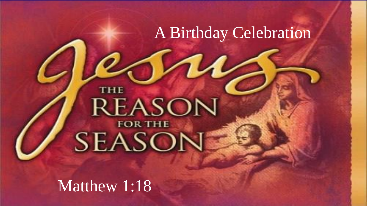## A Birthday Celebration

# **THE REASON** SEASON

Matthew 1:18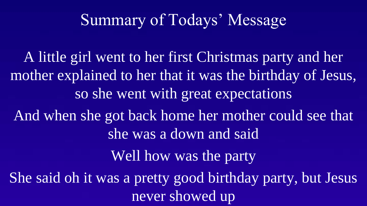## Summary of Todays' Message

A little girl went to her first Christmas party and her mother explained to her that it was the birthday of Jesus, so she went with great expectations And when she got back home her mother could see that she was a down and said Well how was the party She said oh it was a pretty good birthday party, but Jesus never showed up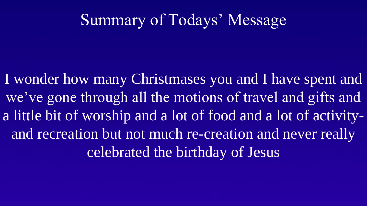## Summary of Todays' Message

I wonder how many Christmases you and I have spent and we've gone through all the motions of travel and gifts and a little bit of worship and a lot of food and a lot of activityand recreation but not much re-creation and never really celebrated the birthday of Jesus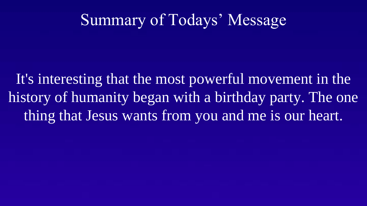## Summary of Todays' Message

It's interesting that the most powerful movement in the history of humanity began with a birthday party. The one thing that Jesus wants from you and me is our heart.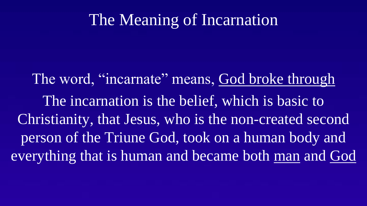## The Meaning of Incarnation

The word, "incarnate" means, God broke through The incarnation is the belief, which is basic to Christianity, that Jesus, who is the non-created second person of the Triune God, took on a human body and everything that is human and became both man and God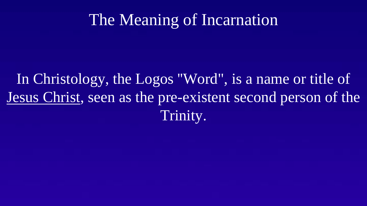## The Meaning of Incarnation

## In Christology, the Logos ''Word", is a name or title of Jesus Christ, seen as the pre-existent second person of the Trinity.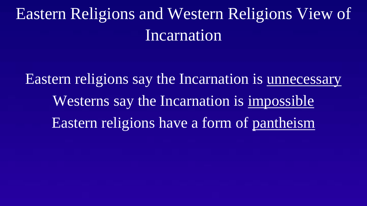# Eastern Religions and Western Religions View of Incarnation

Eastern religions say the Incarnation is unnecessary Westerns say the Incarnation is impossible Eastern religions have a form of pantheism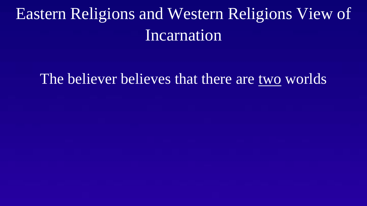# Eastern Religions and Western Religions View of Incarnation

#### The believer believes that there are two worlds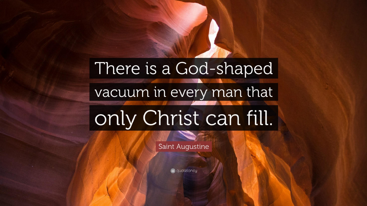# There is a God-shaped

### vacuum in every man that

# only Christ can fill.

Saint Augustine

G quotefancy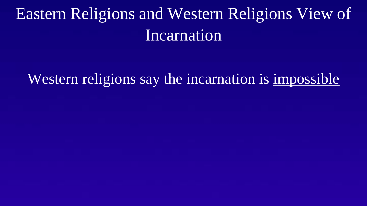# Eastern Religions and Western Religions View of Incarnation

#### Western religions say the incarnation is impossible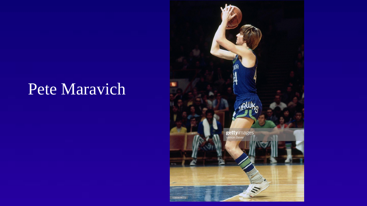# Pete Maravich